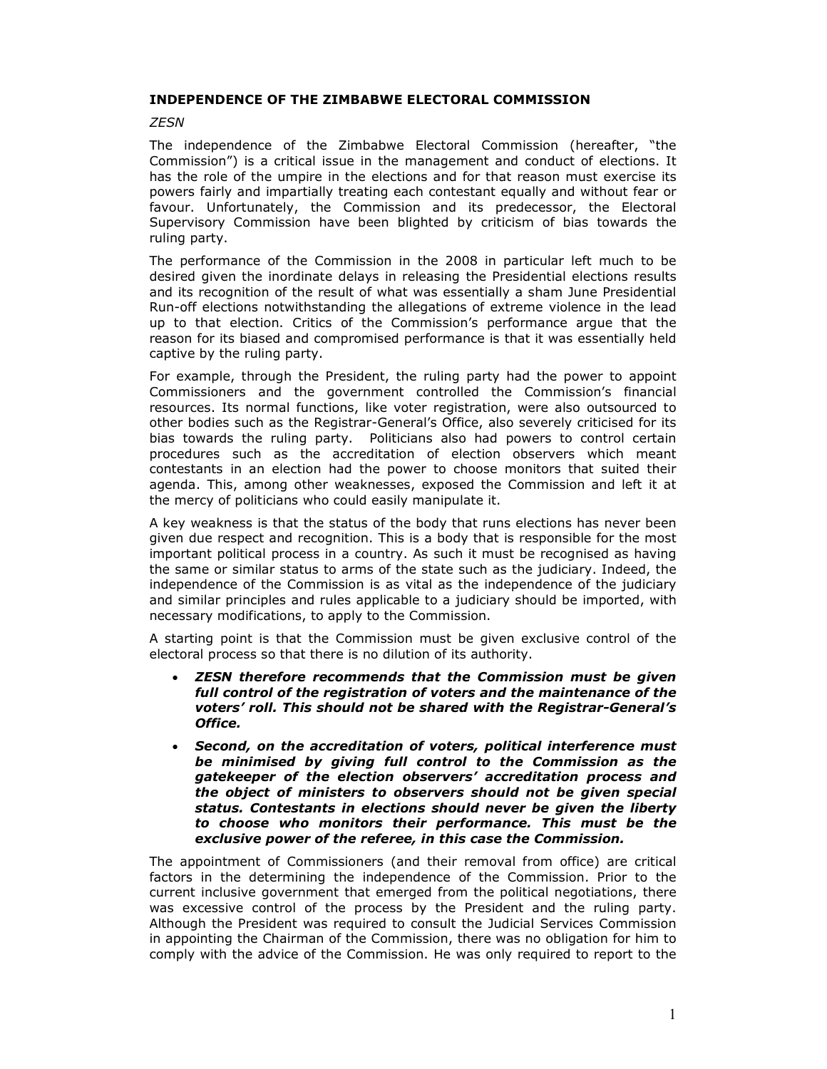## INDEPENDENCE OF THE ZIMBABWE ELECTORAL COMMISSION

## **ZESN**

The independence of the Zimbabwe Electoral Commission (hereafter, "the Commission") is a critical issue in the management and conduct of elections. It has the role of the umpire in the elections and for that reason must exercise its powers fairly and impartially treating each contestant equally and without fear or favour. Unfortunately, the Commission and its predecessor, the Electoral Supervisory Commission have been blighted by criticism of bias towards the ruling party.

The performance of the Commission in the 2008 in particular left much to be desired given the inordinate delays in releasing the Presidential elections results and its recognition of the result of what was essentially a sham June Presidential Run-off elections notwithstanding the allegations of extreme violence in the lead up to that election. Critics of the Commission's performance argue that the reason for its biased and compromised performance is that it was essentially held captive by the ruling party.

For example, through the President, the ruling party had the power to appoint Commissioners and the government controlled the Commission's financial resources. Its normal functions, like voter registration, were also outsourced to other bodies such as the Registrar-General's Office, also severely criticised for its bias towards the ruling party. Politicians also had powers to control certain procedures such as the accreditation of election observers which meant contestants in an election had the power to choose monitors that suited their agenda. This, among other weaknesses, exposed the Commission and left it at the mercy of politicians who could easily manipulate it.

A key weakness is that the status of the body that runs elections has never been given due respect and recognition. This is a body that is responsible for the most important political process in a country. As such it must be recognised as having the same or similar status to arms of the state such as the judiciary. Indeed, the independence of the Commission is as vital as the independence of the judiciary and similar principles and rules applicable to a judiciary should be imported, with necessary modifications, to apply to the Commission.

A starting point is that the Commission must be given exclusive control of the electoral process so that there is no dilution of its authority.

- ZESN therefore recommends that the Commission must be given full control of the registration of voters and the maintenance of the voters' roll. This should not be shared with the Registrar-General's Office.
- Second, on the accreditation of voters, political interference must be minimised by giving full control to the Commission as the gatekeeper of the election observers' accreditation process and the object of ministers to observers should not be given special status. Contestants in elections should never be given the liberty to choose who monitors their performance. This must be the exclusive power of the referee, in this case the Commission.

The appointment of Commissioners (and their removal from office) are critical factors in the determining the independence of the Commission. Prior to the current inclusive government that emerged from the political negotiations, there was excessive control of the process by the President and the ruling party. Although the President was required to consult the Judicial Services Commission in appointing the Chairman of the Commission, there was no obligation for him to comply with the advice of the Commission. He was only required to report to the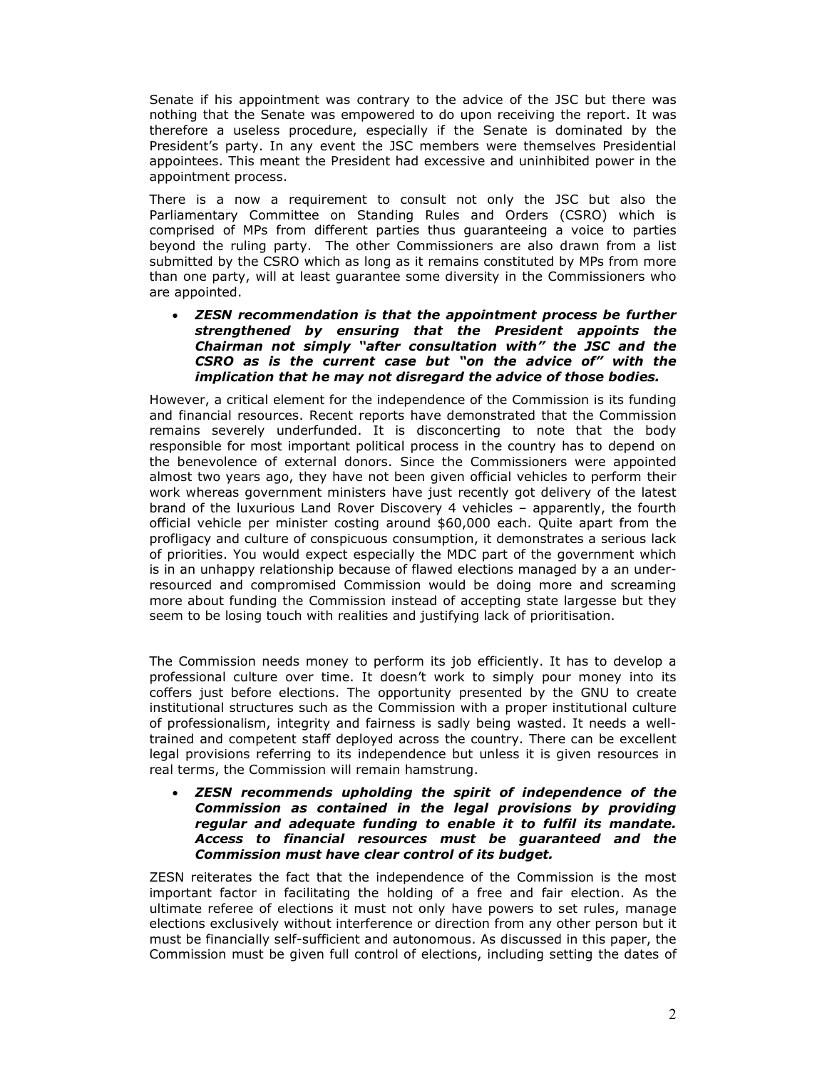Senate if his appointment was contrary to the advice of the JSC but there was nothing that the Senate was empowered to do upon receiving the report. It was therefore a useless procedure, especially if the Senate is dominated by the President's party. In any event the JSC members were themselves Presidential appointees. This meant the President had excessive and uninhibited power in the appointment process.

There is a now a requirement to consult not only the JSC but also the Parliamentary Committee on Standing Rules and Orders (CSRO) which is comprised of MPs from different parties thus guaranteeing a voice to parties beyond the ruling party. The other Commissioners are also drawn from a list submitted by the CSRO which as long as it remains constituted by MPs from more than one party, will at least guarantee some diversity in the Commissioners who are appointed.

• ZESN recommendation is that the appointment process be further strengthened by ensuring that the President appoints the Chairman not simply "after consultation with" the JSC and the CSRO as is the current case but "on the advice of" with the implication that he may not disregard the advice of those bodies.

However, a critical element for the independence of the Commission is its funding and financial resources. Recent reports have demonstrated that the Commission remains severely underfunded. It is disconcerting to note that the body responsible for most important political process in the country has to depend on the benevolence of external donors. Since the Commissioners were appointed almost two years ago, they have not been given official vehicles to perform their work whereas government ministers have just recently got delivery of the latest brand of the luxurious Land Rover Discovery 4 vehicles – apparently, the fourth official vehicle per minister costing around \$60,000 each. Quite apart from the profligacy and culture of conspicuous consumption, it demonstrates a serious lack of priorities. You would expect especially the MDC part of the government which is in an unhappy relationship because of flawed elections managed by a an underresourced and compromised Commission would be doing more and screaming more about funding the Commission instead of accepting state largesse but they seem to be losing touch with realities and justifying lack of prioritisation.

The Commission needs money to perform its job efficiently. It has to develop a professional culture over time. It doesn't work to simply pour money into its coffers just before elections. The opportunity presented by the GNU to create institutional structures such as the Commission with a proper institutional culture of professionalism, integrity and fairness is sadly being wasted. It needs a welltrained and competent staff deployed across the country. There can be excellent legal provisions referring to its independence but unless it is given resources in real terms, the Commission will remain hamstrung.

## • ZESN recommends upholding the spirit of independence of the Commission as contained in the legal provisions by providing regular and adequate funding to enable it to fulfil its mandate. Access to financial resources must be guaranteed and the Commission must have clear control of its budget.

ZESN reiterates the fact that the independence of the Commission is the most important factor in facilitating the holding of a free and fair election. As the ultimate referee of elections it must not only have powers to set rules, manage elections exclusively without interference or direction from any other person but it must be financially self-sufficient and autonomous. As discussed in this paper, the Commission must be given full control of elections, including setting the dates of